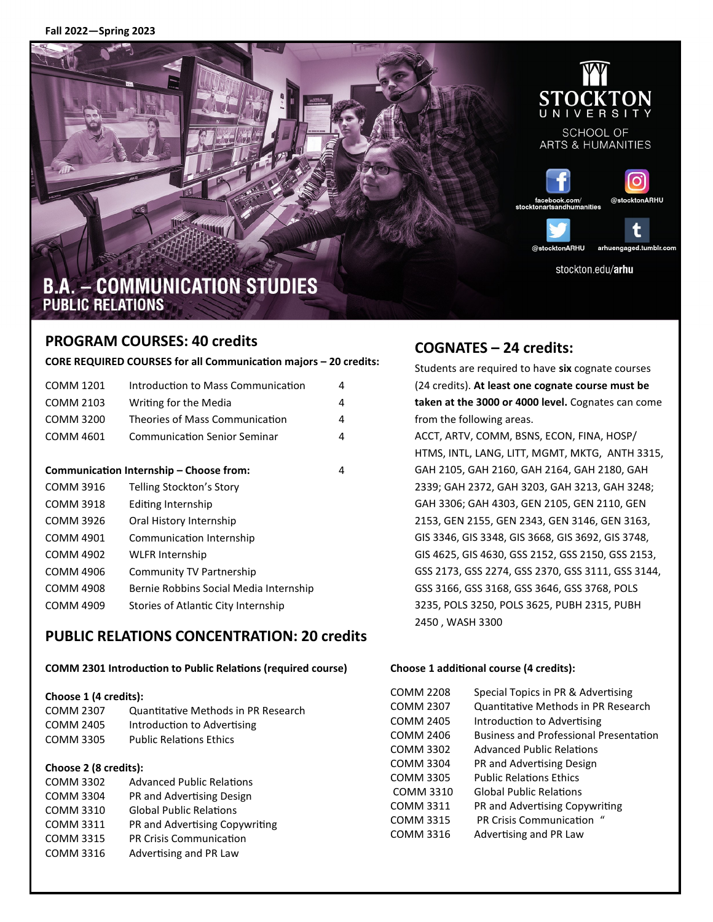**Fall 2022—Spring 2023**



### **PROGRAM COURSES: 40 credits**

**CORE REQUIRED COURSES for all Communication majors – 20 credits:** 

| COMM 1201                               | Introduction to Mass Communication     | 4 |
|-----------------------------------------|----------------------------------------|---|
| COMM 2103                               | Writing for the Media                  | 4 |
| COMM 3200                               | Theories of Mass Communication         | 4 |
| COMM 4601                               | <b>Communication Senior Seminar</b>    | 4 |
|                                         |                                        |   |
| Communication Internship – Choose from: |                                        | 4 |
| COMM 3916                               | Telling Stockton's Story               |   |
| COMM 3918                               | Editing Internship                     |   |
| COMM 3926                               | Oral History Internship                |   |
| COMM 4901                               | Communication Internship               |   |
| COMM 4902                               | WLFR Internship                        |   |
| COMM 4906                               | Community TV Partnership               |   |
| <b>COMM 4908</b>                        | Bernie Robbins Social Media Internship |   |
| COMM 4909                               | Stories of Atlantic City Internship    |   |

### **PUBLIC RELATIONS CONCENTRATION: 20 credits**

#### **COMM 2301 Introduction to Public Relations (required course)**

#### **Choose 1 (4 credits):**

| COMM 2307 | Quantitative Methods in PR Research |
|-----------|-------------------------------------|
| COMM 2405 | Introduction to Advertising         |
| COMM 3305 | <b>Public Relations Ethics</b>      |

#### **Choose 2 (8 credits):**

| <b>COMM 3302</b> | <b>Advanced Public Relations</b> |
|------------------|----------------------------------|
| <b>COMM 3304</b> | PR and Advertising Design        |
| <b>COMM 3310</b> | <b>Global Public Relations</b>   |
| <b>COMM 3311</b> | PR and Advertising Copywriting   |
| <b>COMM 3315</b> | <b>PR Crisis Communication</b>   |
| <b>COMM 3316</b> | Advertising and PR Law           |

### **COGNATES – 24 credits:**

Students are required to have **six** cognate courses (24 credits). **At least one cognate course must be taken at the 3000 or 4000 level.** Cognates can come from the following areas. ACCT, ARTV, COMM, BSNS, ECON, FINA, HOSP/ HTMS, INTL, LANG, LITT, MGMT, MKTG, ANTH 3315, GAH 2105, GAH 2160, GAH 2164, GAH 2180, GAH 2339; GAH 2372, GAH 3203, GAH 3213, GAH 3248; GAH 3306; GAH 4303, GEN 2105, GEN 2110, GEN 2153, GEN 2155, GEN 2343, GEN 3146, GEN 3163, GIS 3346, GIS 3348, GIS 3668, GIS 3692, GIS 3748, GIS 4625, GIS 4630, GSS 2152, GSS 2150, GSS 2153, GSS 2173, GSS 2274, GSS 2370, GSS 3111, GSS 3144, GSS 3166, GSS 3168, GSS 3646, GSS 3768, POLS 3235, POLS 3250, POLS 3625, PUBH 2315, PUBH 2450 , WASH 3300

#### **Choose 1 additional course (4 credits):**

| COMM 2208        | Special Topics in PR & Advertising            |
|------------------|-----------------------------------------------|
| COMM 2307        | Quantitative Methods in PR Research           |
| COMM 2405        | Introduction to Advertising                   |
| COMM 2406        | <b>Business and Professional Presentation</b> |
| COMM 3302        | <b>Advanced Public Relations</b>              |
| COMM 3304        | PR and Advertising Design                     |
| COMM 3305        | <b>Public Relations Ethics</b>                |
| <b>COMM 3310</b> | <b>Global Public Relations</b>                |
| COMM 3311        | PR and Advertising Copywriting                |
| COMM 3315        | <b>PR Crisis Communication</b>                |
| COMM 3316        | Advertising and PR Law                        |